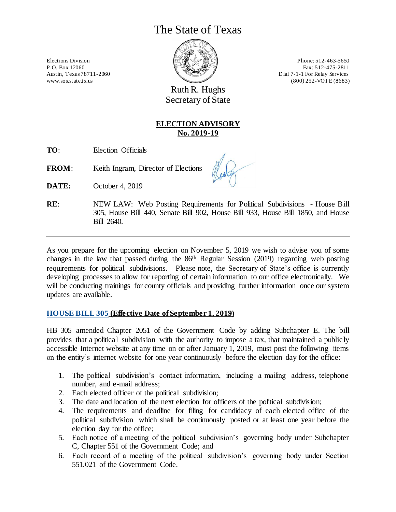# The State of Texas



www.sos.state.tx.us (800) 252-VOTE (8683)

Ruth R. Hughs Secretary of State

## **ELECTION ADVISORY No. 2019-19**

**TO**: Election Officials

**FROM:** Keith Ingram, Director of Elections

**DATE:** October 4, 2019

**RE**: NEW LAW: Web Posting Requirements for Political Subdivisions - House Bill 305, House Bill 440, Senate Bill 902, House Bill 933, House Bill 1850, and House Bill 2640.

As you prepare for the upcoming election on November 5, 2019 we wish to advise you of some changes in the law that passed during the 86th Regular Session (2019) regarding web posting requirements for political subdivisions. Please note, the Secretary of State's office is currently developing processes to allow for reporting of certain information to our office electronically. We will be conducting trainings for county officials and providing further information once our system updates are available.

### **[HOUSE BILL 305](https://capitol.texas.gov/BillLookup/History.aspx?LegSess=86R&Bill=HB305) (Effective Date of September 1, 2019)**

HB 305 amended Chapter 2051 of the Government Code by adding Subchapter E. The bill provides that a political subdivision with the authority to impose a tax, that maintained a publicly accessible Internet website at any time on or after January 1, 2019, must post the following items on the entity's internet website for one year continuously before the election day for the office:

- 1. The political subdivision's contact information, including a mailing address, telephone number, and e-mail address;
- 2. Each elected officer of the political subdivision;
- 3. The date and location of the next election for officers of the political subdivision;
- 4. The requirements and deadline for filing for candidacy of each elected office of the political subdivision which shall be continuously posted or at least one year before the election day for the office;
- 5. Each notice of a meeting of the political subdivision's governing body under Subchapter C, Chapter 551 of the Government Code; and
- 6. Each record of a meeting of the political subdivision's governing body under Section 551.021 of the Government Code.

Elections Division **Phone: 512-463-5650** P.O. Box 12060 Fax: 512-475-2811 Austin, Texas 78711-2060 **Dial 7-1-1** For Relay Services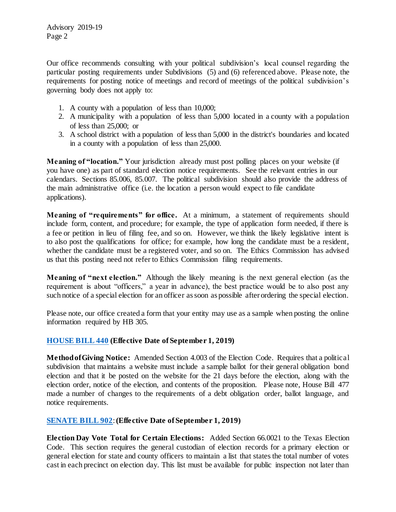Our office recommends consulting with your political subdivision's local counsel regarding the particular posting requirements under Subdivisions (5) and (6) referenced above. Please note, the requirements for posting notice of meetings and record of meetings of the political subdivision's governing body does not apply to:

- 1. A county with a population of less than 10,000;
- 2. A municipality with a population of less than 5,000 located in a county with a population of less than 25,000; or
- 3. A school district with a population of less than 5,000 in the district's boundaries and located in a county with a population of less than 25,000.

**Meaning of "location."** Your jurisdiction already must post polling places on your website (if you have one) as part of standard election notice requirements. See the relevant entries in our calendars. Sections 85.006, 85.007. The political subdivision should also provide the address of the main administrative office (i.e. the location a person would expect to file candidate applications).

**Meaning of "requirements" for office.** At a minimum, a statement of requirements should include form, content, and procedure; for example, the type of application form needed, if there is a fee or petition in lieu of filing fee, and so on. However, we think the likely legislative intent is to also post the qualifications for office; for example, how long the candidate must be a resident, whether the candidate must be a registered voter, and so on. The Ethics Commission has advised us that this posting need not refer to Ethics Commission filing requirements.

**Meaning of "next election."** Although the likely meaning is the next general election (as the requirement is about "officers," a year in advance), the best practice would be to also post any such notice of a special election for an officer as soon as possible after ordering the special election.

Please note, our office created a form that your entity may use as a sample when posting the online information required by HB 305.

#### **[HOUSE BILL 440](https://capitol.texas.gov/BillLookup/History.aspx?LegSess=86R&Bill=HB440) (Effective Date of September 1, 2019)**

**Method of Giving Notice:** Amended Section 4.003 of the Election Code. Requires that a political subdivision that maintains a website must include a sample ballot for their general obligation bond election and that it be posted on the website for the 21 days before the election, along with the election order, notice of the election, and contents of the proposition. Please note, House Bill 477 made a number of changes to the requirements of a debt obligation order, ballot language, and notice requirements.

#### **[SENATE BILL 902](https://capitol.texas.gov/BillLookup/History.aspx?LegSess=86R&Bill=SB902)**: **(Effective Date of September 1, 2019)**

**Election Day Vote Total for Certain Elections:** Added Section 66.0021 to the Texas Election Code. This section requires the general custodian of election records for a primary election or general election for state and county officers to maintain a list that states the total number of votes cast in each precinct on election day. This list must be available for public inspection not later than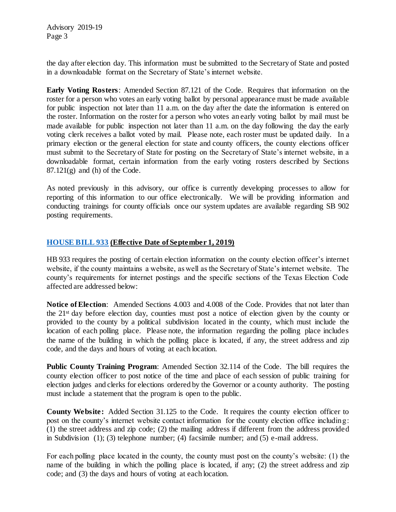the day after election day. This information must be submitted to the Secretary of State and posted in a downloadable format on the Secretary of State's internet website.

**Early Voting Rosters**: Amended Section 87.121 of the Code. Requires that information on the roster for a person who votes an early voting ballot by personal appearance must be made available for public inspection not later than 11 a.m. on the day after the date the information is entered on the roster. Information on the roster for a person who votes an early voting ballot by mail must be made available for public inspection not later than 11 a.m. on the day following the day the early voting clerk receives a ballot voted by mail. Please note, each roster must be updated daily. In a primary election or the general election for state and county officers, the county elections officer must submit to the Secretary of State for posting on the Secretary of State's internet website, in a downloadable format, certain information from the early voting rosters described by Sections  $87.121(g)$  and (h) of the Code.

As noted previously in this advisory, our office is currently developing processes to allow for reporting of this information to our office electronically. We will be providing information and conducting trainings for county officials once our system updates are available regarding SB 902 posting requirements.

#### **[HOUSE BILL 933](https://capitol.texas.gov/BillLookup/History.aspx?LegSess=86R&Bill=HB933) (Effective Date of September 1, 2019)**

HB 933 requires the posting of certain election information on the county election officer's internet website, if the county maintains a website, as well as the Secretary of State's internet website. The county's requirements for internet postings and the specific sections of the Texas Election Code affected are addressed below:

**Notice of Election**: Amended Sections 4.003 and 4.008 of the Code. Provides that not later than the 21st day before election day, counties must post a notice of election given by the county or provided to the county by a political subdivision located in the county, which must include the location of each polling place. Please note, the information regarding the polling place includes the name of the building in which the polling place is located, if any, the street address and zip code, and the days and hours of voting at each location.

**Public County Training Program**: Amended Section 32.114 of the Code. The bill requires the county election officer to post notice of the time and place of each session of public training for election judges and clerks for elections ordered by the Governor or a county authority. The posting must include a statement that the program is open to the public.

**County Website:** Added Section 31.125 to the Code. It requires the county election officer to post on the county's internet website contact information for the county election office including: (1) the street address and zip code; (2) the mailing address if different from the address provided in Subdivision (1); (3) telephone number; (4) facsimile number; and (5) e-mail address.

For each polling place located in the county, the county must post on the county's website: (1) the name of the building in which the polling place is located, if any; (2) the street address and zip code; and (3) the days and hours of voting at each location.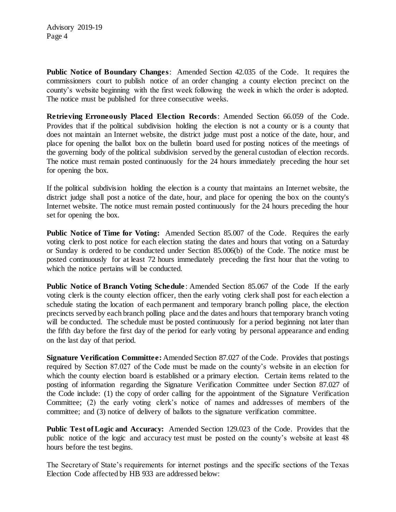**Public Notice of Boundary Changes**: Amended Section 42.035 of the Code. It requires the commissioners court to publish notice of an order changing a county election precinct on the county's website beginning with the first week following the week in which the order is adopted. The notice must be published for three consecutive weeks.

**Retrieving Erroneously Placed Election Records**: Amended Section 66.059 of the Code. Provides that if the political subdivision holding the election is not a county or is a county that does not maintain an Internet website, the district judge must post a notice of the date, hour, and place for opening the ballot box on the bulletin board used for posting notices of the meetings of the governing body of the political subdivision served by the general custodian of election records. The notice must remain posted continuously for the 24 hours immediately preceding the hour set for opening the box.

If the political subdivision holding the election is a county that maintains an Internet website, the district judge shall post a notice of the date, hour, and place for opening the box on the county's Internet website. The notice must remain posted continuously for the 24 hours preceding the hour set for opening the box.

**Public Notice of Time for Voting:** Amended Section 85.007 of the Code. Requires the early voting clerk to post notice for each election stating the dates and hours that voting on a Saturday or Sunday is ordered to be conducted under Section 85.006(b) of the Code. The notice must be posted continuously for at least 72 hours immediately preceding the first hour that the voting to which the notice pertains will be conducted.

**Public Notice of Branch Voting Schedule** : Amended Section 85.067 of the Code If the early voting clerk is the county election officer, then the early voting clerk shall post for each election a schedule stating the location of each permanent and temporary branch polling place, the election precincts served by each branch polling place and the dates and hours that temporary branch voting will be conducted. The schedule must be posted continuously for a period beginning not later than the fifth day before the first day of the period for early voting by personal appearance and ending on the last day of that period.

**Signature Verification Committee:** Amended Section 87.027 of the Code. Provides that postings required by Section 87.027 of the Code must be made on the county's website in an election for which the county election board is established or a primary election. Certain items related to the posting of information regarding the Signature Verification Committee under Section 87.027 of the Code include: (1) the copy of order calling for the appointment of the Signature Verification Committee; (2) the early voting clerk's notice of names and addresses of members of the committee; and (3) notice of delivery of ballots to the signature verification committee.

**Public Test of Logic and Accuracy:** Amended Section 129.023 of the Code. Provides that the public notice of the logic and accuracy test must be posted on the county's website at least 48 hours before the test begins.

The Secretary of State's requirements for internet postings and the specific sections of the Texas Election Code affected by HB 933 are addressed below: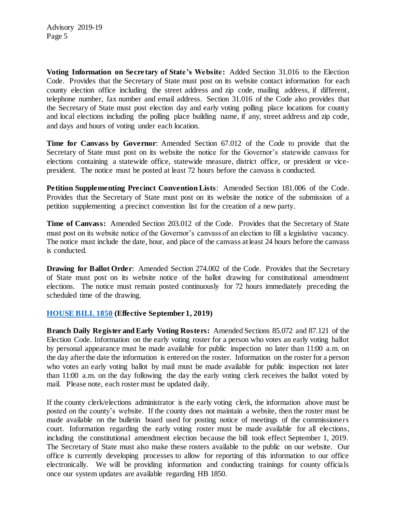**Voting Information on Secre tary of State's Website:** Added Section 31.016 to the Election Code. Provides that the Secretary of State must post on its website contact information for each county election office including the street address and zip code, mailing address, if different, telephone number, fax number and email address. Section 31.016 of the Code also provides that the Secretary of State must post election day and early voting polling place locations for county and local elections including the polling place building name, if any, street address and zip code, and days and hours of voting under each location.

**Time for Canvass by Governor**: Amended Section 67.012 of the Code to provide that the Secretary of State must post on its website the notice for the Governor's statewide canvass for elections containing a statewide office, statewide measure, district office, or president or vicepresident. The notice must be posted at least 72 hours before the canvass is conducted.

**Petition Supplementing Precinct Convention Lists**: Amended Section 181.006 of the Code. Provides that the Secretary of State must post on its website the notice of the submission of a petition supplementing a precinct convention list for the creation of a new party.

**Time of Canvass:** Amended Section 203.012 of the Code. Provides that the Secretary of State must post on its website notice of the Governor's canvass of an election to fill a legislative vacancy. The notice must include the date, hour, and place of the canvass at least 24 hours before the canvass is conducted.

**Drawing for Ballot Order:** Amended Section 274.002 of the Code. Provides that the Secretary of State must post on its website notice of the ballot drawing for constitutional amendment elections. The notice must remain posted continuously for 72 hours immediately preceding the scheduled time of the drawing.

#### **[HOUSE BILL 1850](https://capitol.texas.gov/BillLookup/History.aspx?LegSess=86R&Bill=HB1850) (Effective September 1, 2019)**

**Branch Daily Register and Early Voting Rosters:** Amended Sections 85.072 and 87.121 of the Election Code. Information on the early voting roster for a person who votes an early voting ballot by personal appearance must be made available for public inspection no later than 11:00 a.m. on the day after the date the information is entered on the roster. Information on the roster for a person who votes an early voting ballot by mail must be made available for public inspection not later than 11:00 a.m. on the day following the day the early voting clerk receives the ballot voted by mail. Please note, each roster must be updated daily.

If the county clerk/elections administrator is the early voting clerk, the information above must be posted on the county's website. If the county does not maintain a website, then the roster must be made available on the bulletin board used for posting notice of meetings of the commissioners court. Information regarding the early voting roster must be made available for all elections, including the constitutional amendment election because the bill took effect September 1, 2019. The Secretary of State must also make these rosters available to the public on our website. Our office is currently developing processes to allow for reporting of this information to our office electronically. We will be providing information and conducting trainings for county officials once our system updates are available regarding HB 1850.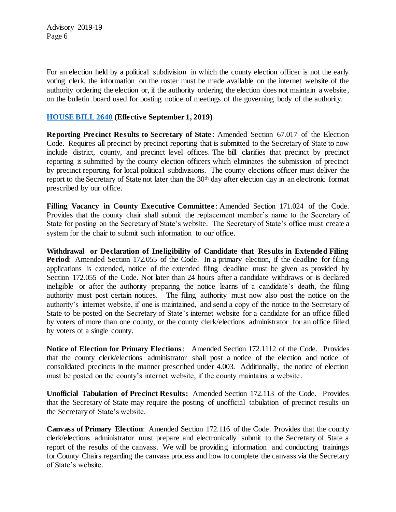For an election held by a political subdivision in which the county election officer is not the early voting clerk, the information on the roster must be made available on the internet website of the authority ordering the election or, if the authority ordering the election does not maintain a website, on the bulletin board used for posting notice of meetings of the governing body of the authority.

#### **[HOUSE BILL 2640](https://capitol.texas.gov/BillLookup/History.aspx?LegSess=86R&Bill=HB2640) (Effective September 1, 2019)**

**Reporting Precinct Results to Secretary of State** : Amended Section 67.017 of the Election Code. Requires all precinct by precinct reporting that is submitted to the Secretary of State to now include district, county, and precinct level offices. The bill clarifies that precinct by precinct reporting is submitted by the county election officers which eliminates the submission of precinct by precinct reporting for local political subdivisions. The county elections officer must deliver the report to the Secretary of State not later than the 30<sup>th</sup> day after election day in an electronic format prescribed by our office.

**Filling Vacancy in County Executive Committee** : Amended Section 171.024 of the Code. Provides that the county chair shall submit the replacement member's name to the Secretary of State for posting on the Secretary of State's website. The Secretary of State's office must create a system for the chair to submit such information to our office.

**Withdrawal or Declaration of Ineligibility of Candidate that Results in Extended Filing Period:** Amended Section 172.055 of the Code. In a primary election, if the deadline for filing applications is extended, notice of the extended filing deadline must be given as provided by Section 172.055 of the Code. Not later than 24 hours after a candidate withdraws or is declared ineligible or after the authority preparing the notice learns of a candidate's death, the filing authority must post certain notices. The filing authority must now also post the notice on the authority's internet website, if one is maintained, and send a copy of the notice to the Secretary of State to be posted on the Secretary of State's internet website for a candidate for an office filled by voters of more than one county, or the county clerk/elections administrator for an office filled by voters of a single county.

**Notice of Election for Primary Elections**: Amended Section 172.1112 of the Code. Provides that the county clerk/elections administrator shall post a notice of the election and notice of consolidated precincts in the manner prescribed under 4.003. Additionally, the notice of election must be posted on the county's internet website, if the county maintains a website.

**Unofficial Tabulation of Precinct Results:** Amended Section 172.113 of the Code. Provides that the Secretary of State may require the posting of unofficial tabulation of precinct results on the Secretary of State's website.

**Canvass of Primary Election**: Amended Section 172.116 of the Code. Provides that the county clerk/elections administrator must prepare and electronically submit to the Secretary of State a report of the results of the canvass. We will be providing information and conducting trainings for County Chairs regarding the canvass process and how to complete the canvass via the Secretary of State's website.